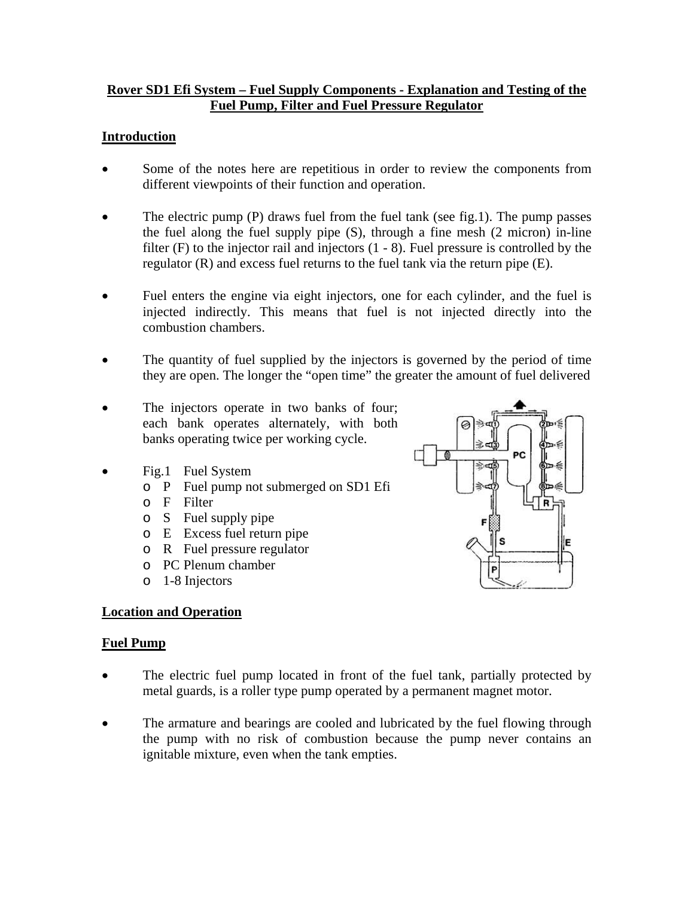#### **Rover SD1 Efi System – Fuel Supply Components - Explanation and Testing of the Fuel Pump, Filter and Fuel Pressure Regulator**

#### **Introduction**

- Some of the notes here are repetitious in order to review the components from different viewpoints of their function and operation.
- The electric pump (P) draws fuel from the fuel tank (see fig.1). The pump passes the fuel along the fuel supply pipe (S), through a fine mesh (2 micron) in-line filter (F) to the injector rail and injectors (1 - 8). Fuel pressure is controlled by the regulator (R) and excess fuel returns to the fuel tank via the return pipe (E).
- Fuel enters the engine via eight injectors, one for each cylinder, and the fuel is injected indirectly. This means that fuel is not injected directly into the combustion chambers.
- The quantity of fuel supplied by the injectors is governed by the period of time they are open. The longer the "open time" the greater the amount of fuel delivered
- The injectors operate in two banks of four; each bank operates alternately, with both banks operating twice per working cycle.
- Fig.1 Fuel System
	- o P Fuel pump not submerged on SD1 Efi
	- o F Filter
	- o S Fuel supply pipe
	- o E Excess fuel return pipe
	- o R Fuel pressure regulator
	- o PC Plenum chamber
	- o 1-8 Injectors

# **Location and Operation**

#### **Fuel Pump**

- The electric fuel pump located in front of the fuel tank, partially protected by metal guards, is a roller type pump operated by a permanent magnet motor.
- The armature and bearings are cooled and lubricated by the fuel flowing through the pump with no risk of combustion because the pump never contains an ignitable mixture, even when the tank empties.

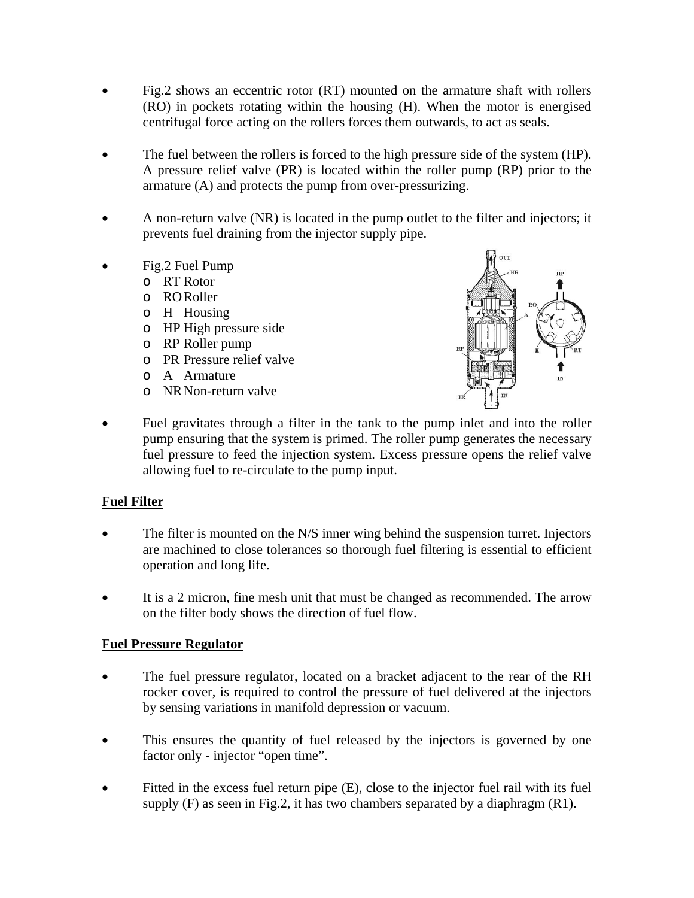- Fig.2 shows an eccentric rotor (RT) mounted on the armature shaft with rollers (RO) in pockets rotating within the housing (H). When the motor is energised centrifugal force acting on the rollers forces them outwards, to act as seals.
- The fuel between the rollers is forced to the high pressure side of the system (HP). A pressure relief valve (PR) is located within the roller pump (RP) prior to the armature (A) and protects the pump from over-pressurizing.
- A non-return valve (NR) is located in the pump outlet to the filter and injectors; it prevents fuel draining from the injector supply pipe.
- Fig.2 Fuel Pump
	- o RT Rotor
	- o RO Roller
	- o H Housing
	- o HP High pressure side
	- o RP Roller pump
	- o PR Pressure relief valve
	- o A Armature
	- o NR Non-return valve



Fuel gravitates through a filter in the tank to the pump inlet and into the roller pump ensuring that the system is primed. The roller pump generates the necessary fuel pressure to feed the injection system. Excess pressure opens the relief valve allowing fuel to re-circulate to the pump input.

# **Fuel Filter**

- The filter is mounted on the N/S inner wing behind the suspension turret. Injectors are machined to close tolerances so thorough fuel filtering is essential to efficient operation and long life.
- It is a 2 micron, fine mesh unit that must be changed as recommended. The arrow on the filter body shows the direction of fuel flow.

# **Fuel Pressure Regulator**

- The fuel pressure regulator, located on a bracket adjacent to the rear of the RH rocker cover, is required to control the pressure of fuel delivered at the injectors by sensing variations in manifold depression or vacuum.
- This ensures the quantity of fuel released by the injectors is governed by one factor only - injector "open time".
- Fitted in the excess fuel return pipe (E), close to the injector fuel rail with its fuel supply  $(F)$  as seen in Fig.2, it has two chambers separated by a diaphragm  $(R1)$ .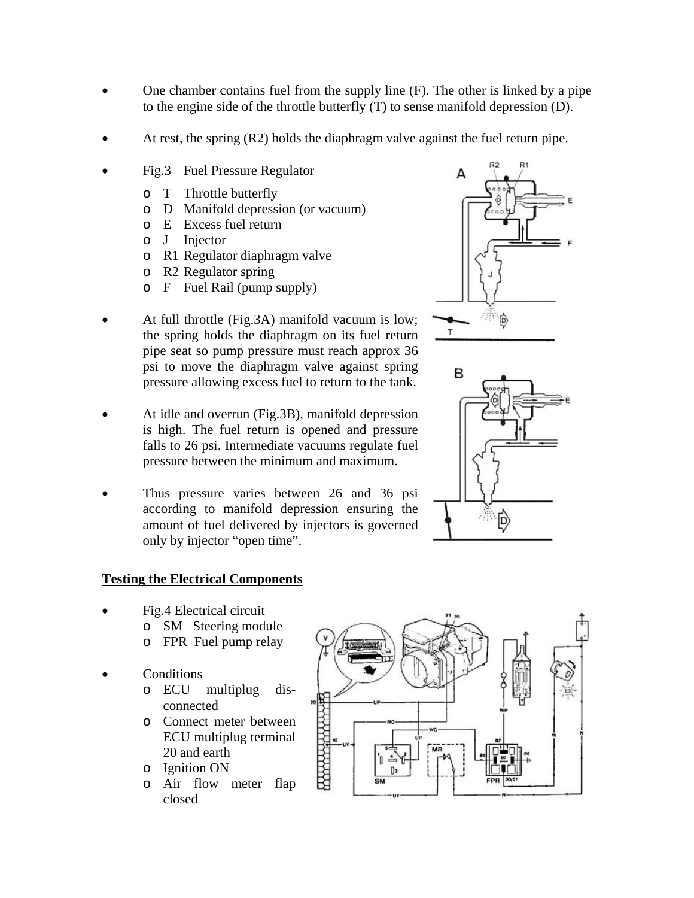- One chamber contains fuel from the supply line (F). The other is linked by a pipe to the engine side of the throttle butterfly (T) to sense manifold depression (D).
- At rest, the spring (R2) holds the diaphragm valve against the fuel return pipe.
- Fig.3 Fuel Pressure Regulator
	- o T Throttle butterfly
	- o D Manifold depression (or vacuum)
	- o E Excess fuel return
	- o J Injector
	- o R1 Regulator diaphragm valve
	- o R2 Regulator spring
	- o F Fuel Rail (pump supply)
- At full throttle (Fig.3A) manifold vacuum is low; the spring holds the diaphragm on its fuel return pipe seat so pump pressure must reach approx 36 psi to move the diaphragm valve against spring pressure allowing excess fuel to return to the tank.
- At idle and overrun (Fig.3B), manifold depression is high. The fuel return is opened and pressure falls to 26 psi. Intermediate vacuums regulate fuel pressure between the minimum and maximum.
- Thus pressure varies between 26 and 36 psi according to manifold depression ensuring the amount of fuel delivered by injectors is governed only by injector "open time".





# **Testing the Electrical Components**

- Fig.4 Electrical circuit
	- o SM Steering module
		- o FPR Fuel pump relay
- Conditions
	- o ECU multiplug disconnected
	- o Connect meter between ECU multiplug terminal 20 and earth
	- o Ignition ON
	- o Air flow meter flap closed

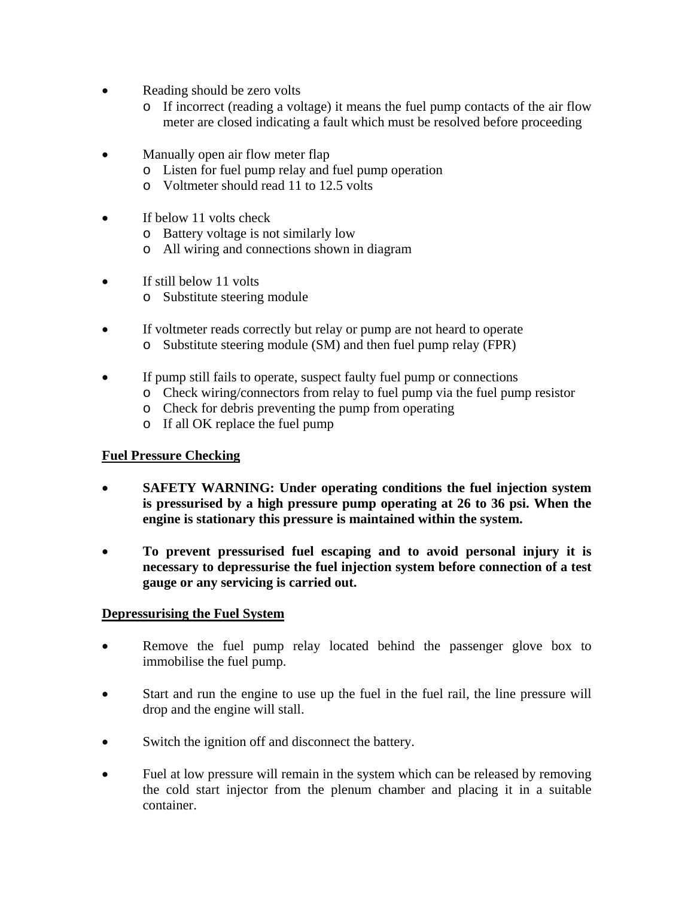- Reading should be zero volts
	- o If incorrect (reading a voltage) it means the fuel pump contacts of the air flow meter are closed indicating a fault which must be resolved before proceeding
- Manually open air flow meter flap
	- o Listen for fuel pump relay and fuel pump operation
	- o Voltmeter should read 11 to 12.5 volts
- If below 11 volts check
	- o Battery voltage is not similarly low
	- o All wiring and connections shown in diagram
- If still below 11 volts
	- o Substitute steering module
- If voltmeter reads correctly but relay or pump are not heard to operate
	- o Substitute steering module (SM) and then fuel pump relay (FPR)
- If pump still fails to operate, suspect faulty fuel pump or connections
	- o Check wiring/connectors from relay to fuel pump via the fuel pump resistor
	- o Check for debris preventing the pump from operating
	- o If all OK replace the fuel pump

# **Fuel Pressure Checking**

- **SAFETY WARNING: Under operating conditions the fuel injection system is pressurised by a high pressure pump operating at 26 to 36 psi. When the engine is stationary this pressure is maintained within the system.**
- **To prevent pressurised fuel escaping and to avoid personal injury it is necessary to depressurise the fuel injection system before connection of a test gauge or any servicing is carried out.**

# **Depressurising the Fuel System**

- Remove the fuel pump relay located behind the passenger glove box to immobilise the fuel pump.
- Start and run the engine to use up the fuel in the fuel rail, the line pressure will drop and the engine will stall.
- Switch the ignition off and disconnect the battery.
- Fuel at low pressure will remain in the system which can be released by removing the cold start injector from the plenum chamber and placing it in a suitable container.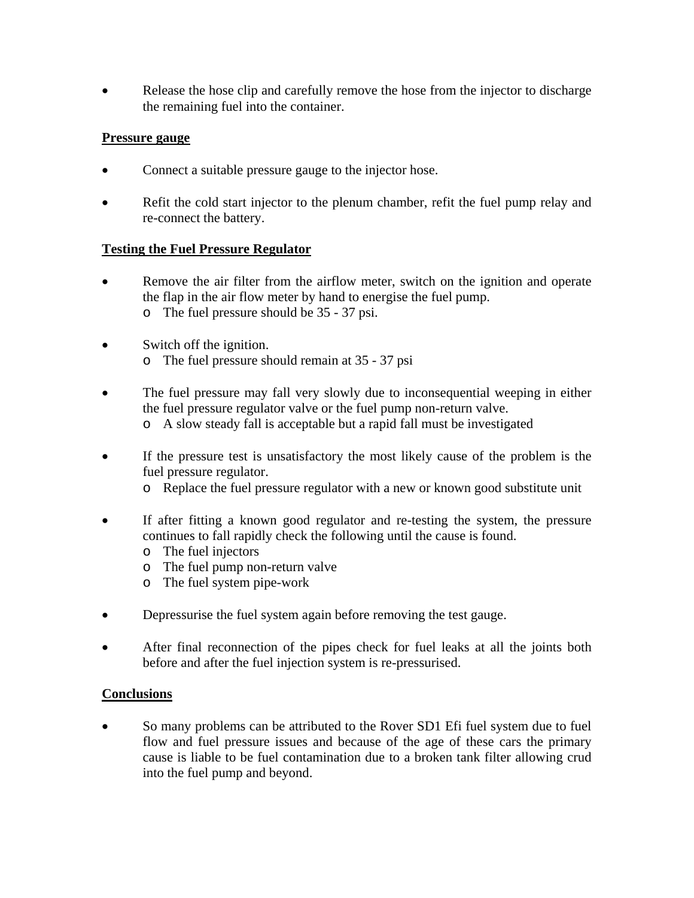• Release the hose clip and carefully remove the hose from the injector to discharge the remaining fuel into the container.

# **Pressure gauge**

- Connect a suitable pressure gauge to the injector hose.
- Refit the cold start injector to the plenum chamber, refit the fuel pump relay and re-connect the battery.

# **Testing the Fuel Pressure Regulator**

- Remove the air filter from the airflow meter, switch on the ignition and operate the flap in the air flow meter by hand to energise the fuel pump. o The fuel pressure should be 35 - 37 psi.
- Switch off the ignition. o The fuel pressure should remain at 35 - 37 psi
- The fuel pressure may fall very slowly due to inconsequential weeping in either the fuel pressure regulator valve or the fuel pump non-return valve.
	- o A slow steady fall is acceptable but a rapid fall must be investigated
- If the pressure test is unsatisfactory the most likely cause of the problem is the fuel pressure regulator.
	- o Replace the fuel pressure regulator with a new or known good substitute unit
- If after fitting a known good regulator and re-testing the system, the pressure continues to fall rapidly check the following until the cause is found.
	- o The fuel injectors
	- o The fuel pump non-return valve
	- o The fuel system pipe-work
- Depressurise the fuel system again before removing the test gauge.
- After final reconnection of the pipes check for fuel leaks at all the joints both before and after the fuel injection system is re-pressurised.

# **Conclusions**

• So many problems can be attributed to the Rover SD1 Efi fuel system due to fuel flow and fuel pressure issues and because of the age of these cars the primary cause is liable to be fuel contamination due to a broken tank filter allowing crud into the fuel pump and beyond.